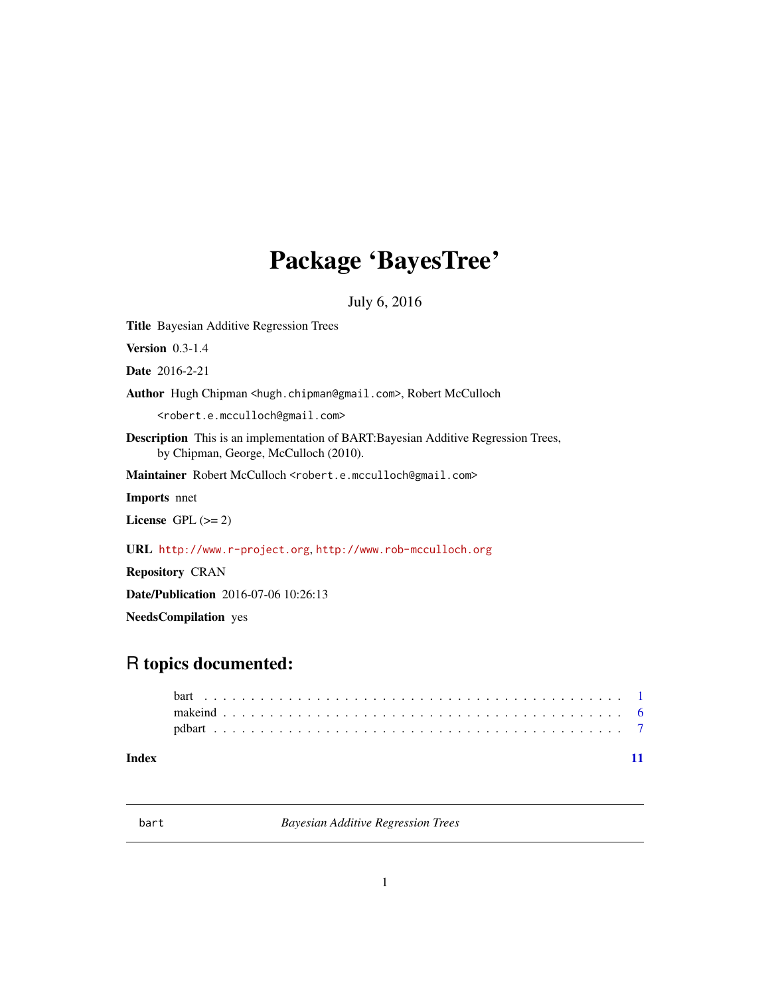# <span id="page-0-0"></span>Package 'BayesTree'

July 6, 2016

<span id="page-0-2"></span>Title Bayesian Additive Regression Trees

Version 0.3-1.4

Date 2016-2-21

Author Hugh Chipman <hugh.chipman@gmail.com>, Robert McCulloch

<robert.e.mcculloch@gmail.com>

Description This is an implementation of BART:Bayesian Additive Regression Trees, by Chipman, George, McCulloch (2010).

Maintainer Robert McCulloch <robert.e.mcculloch@gmail.com>

Imports nnet

License GPL  $(>= 2)$ 

URL <http://www.r-project.org>, <http://www.rob-mcculloch.org>

Repository CRAN

Date/Publication 2016-07-06 10:26:13

NeedsCompilation yes

# R topics documented:

#### **Index** [11](#page-10-0)

<span id="page-0-3"></span>

<span id="page-0-1"></span>bart *Bayesian Additive Regression Trees*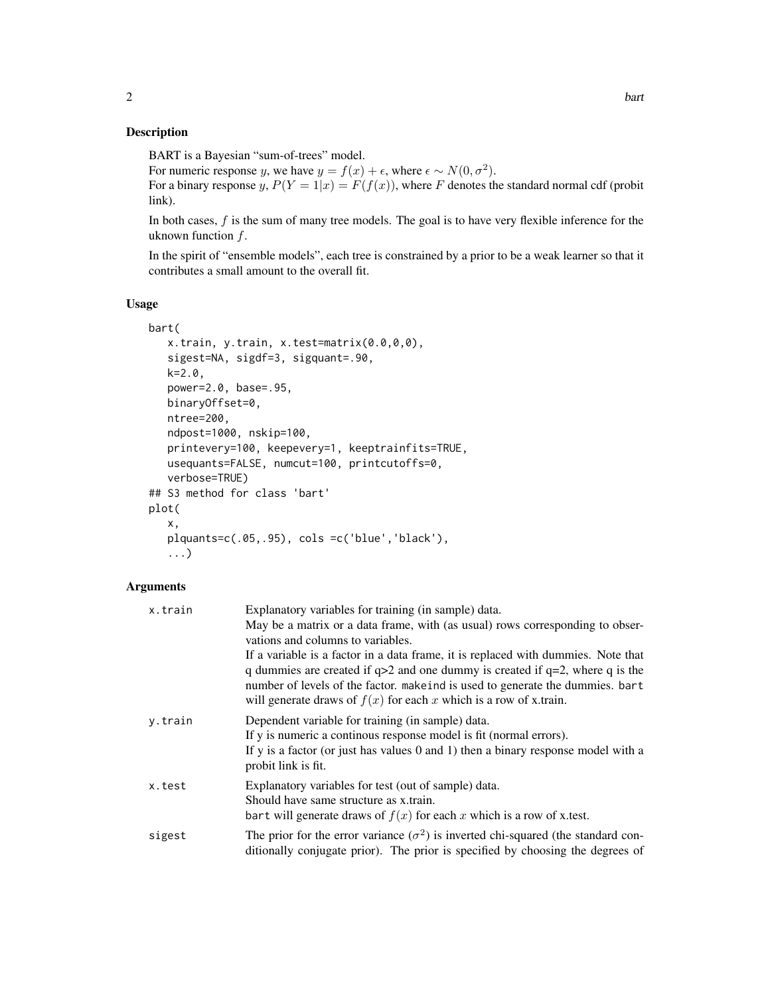# Description

BART is a Bayesian "sum-of-trees" model.

For numeric response y, we have  $y = f(x) + \epsilon$ , where  $\epsilon \sim N(0, \sigma^2)$ .

For a binary response y,  $P(Y = 1|x) = F(f(x))$ , where F denotes the standard normal cdf (probit link).

In both cases,  $f$  is the sum of many tree models. The goal is to have very flexible inference for the uknown function  $f$ .

In the spirit of "ensemble models", each tree is constrained by a prior to be a weak learner so that it contributes a small amount to the overall fit.

# Usage

```
bart(
   x.train, y.train, x.test=matrix(0.0,0,0),
   sigest=NA, sigdf=3, sigquant=.90,
   k=2.0,
   power=2.0, base=.95,
   binaryOffset=0,
   ntree=200,
   ndpost=1000, nskip=100,
   printevery=100, keepevery=1, keeptrainfits=TRUE,
   usequants=FALSE, numcut=100, printcutoffs=0,
   verbose=TRUE)
## S3 method for class 'bart'
plot(
   x,
   plquants=c(.05,.95), cols =c('blue','black'),
   ...)
```
### Arguments

| x.train | Explanatory variables for training (in sample) data.                                                                                                                                                                                                                                                                            |
|---------|---------------------------------------------------------------------------------------------------------------------------------------------------------------------------------------------------------------------------------------------------------------------------------------------------------------------------------|
|         | May be a matrix or a data frame, with (as usual) rows corresponding to obser-<br>vations and columns to variables.                                                                                                                                                                                                              |
|         | If a variable is a factor in a data frame, it is replaced with dummies. Note that<br>q dummies are created if $q>2$ and one dummy is created if $q=2$ , where q is the<br>number of levels of the factor, make ind is used to generate the dummies, bart<br>will generate draws of $f(x)$ for each x which is a row of x.train. |
| y.train | Dependent variable for training (in sample) data.<br>If y is numeric a continuous response model is fit (normal errors).<br>If y is a factor (or just has values 0 and 1) then a binary response model with a<br>probit link is fit.                                                                                            |
| x.test  | Explanatory variables for test (out of sample) data.<br>Should have same structure as x train.<br>bart will generate draws of $f(x)$ for each x which is a row of x test.                                                                                                                                                       |
| sigest  | The prior for the error variance $(\sigma^2)$ is inverted chi-squared (the standard con-<br>ditionally conjugate prior). The prior is specified by choosing the degrees of                                                                                                                                                      |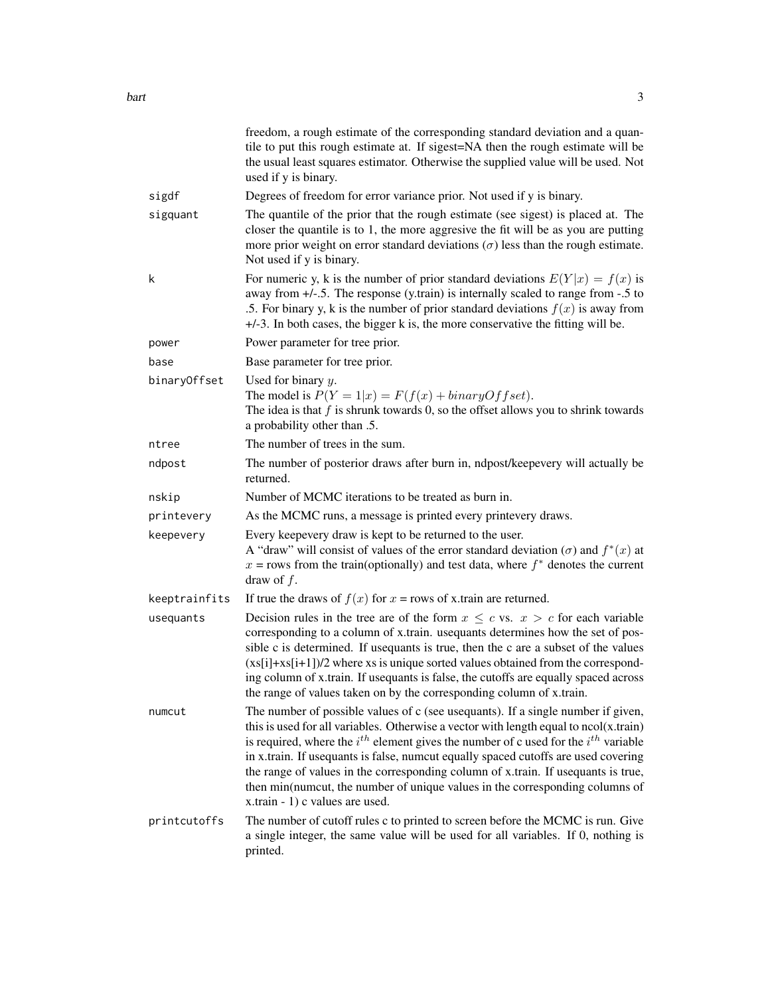|               | freedom, a rough estimate of the corresponding standard deviation and a quan-<br>tile to put this rough estimate at. If sigest=NA then the rough estimate will be<br>the usual least squares estimator. Otherwise the supplied value will be used. Not<br>used if y is binary.                                                                                                                                                                                                                                                                                          |
|---------------|-------------------------------------------------------------------------------------------------------------------------------------------------------------------------------------------------------------------------------------------------------------------------------------------------------------------------------------------------------------------------------------------------------------------------------------------------------------------------------------------------------------------------------------------------------------------------|
| sigdf         | Degrees of freedom for error variance prior. Not used if y is binary.                                                                                                                                                                                                                                                                                                                                                                                                                                                                                                   |
| sigquant      | The quantile of the prior that the rough estimate (see sigest) is placed at. The<br>closer the quantile is to 1, the more aggresive the fit will be as you are putting<br>more prior weight on error standard deviations $(\sigma)$ less than the rough estimate.<br>Not used if y is binary.                                                                                                                                                                                                                                                                           |
| k             | For numeric y, k is the number of prior standard deviations $E(Y x) = f(x)$ is<br>away from $+/-5$ . The response (y.train) is internally scaled to range from $-5$ to<br>.5. For binary y, k is the number of prior standard deviations $f(x)$ is away from<br>$+/-3$ . In both cases, the bigger k is, the more conservative the fitting will be.                                                                                                                                                                                                                     |
| power         | Power parameter for tree prior.                                                                                                                                                                                                                                                                                                                                                                                                                                                                                                                                         |
| base          | Base parameter for tree prior.                                                                                                                                                                                                                                                                                                                                                                                                                                                                                                                                          |
| binaryOffset  | Used for binary $y$ .<br>The model is $P(Y = 1 x) = F(f(x) + binaryOffset)$ .<br>The idea is that $f$ is shrunk towards 0, so the offset allows you to shrink towards<br>a probability other than .5.                                                                                                                                                                                                                                                                                                                                                                   |
| ntree         | The number of trees in the sum.                                                                                                                                                                                                                                                                                                                                                                                                                                                                                                                                         |
| ndpost        | The number of posterior draws after burn in, ndpost/keepevery will actually be<br>returned.                                                                                                                                                                                                                                                                                                                                                                                                                                                                             |
| nskip         | Number of MCMC iterations to be treated as burn in.                                                                                                                                                                                                                                                                                                                                                                                                                                                                                                                     |
| printevery    | As the MCMC runs, a message is printed every printevery draws.                                                                                                                                                                                                                                                                                                                                                                                                                                                                                                          |
| keepevery     | Every keepevery draw is kept to be returned to the user.<br>A "draw" will consist of values of the error standard deviation ( $\sigma$ ) and $f^*(x)$ at<br>$x =$ rows from the train(optionally) and test data, where $f^*$ denotes the current<br>draw of $f$ .                                                                                                                                                                                                                                                                                                       |
| keeptrainfits | If true the draws of $f(x)$ for $x = rows$ of x train are returned.                                                                                                                                                                                                                                                                                                                                                                                                                                                                                                     |
| usequants     | Decision rules in the tree are of the form $x \leq c$ vs. $x > c$ for each variable<br>corresponding to a column of x.train. usequants determines how the set of pos-<br>sible c is determined. If used and is true, then the c are a subset of the values<br>$(xs[i]+xs[i+1])/2$ where xs is unique sorted values obtained from the correspond-<br>ing column of x.train. If usequants is false, the cutoffs are equally spaced across<br>the range of values taken on by the corresponding column of x.train.                                                         |
| numcut        | The number of possible values of c (see usequants). If a single number if given,<br>this is used for all variables. Otherwise a vector with length equal to ncol(x.train)<br>is required, where the $i^{th}$ element gives the number of c used for the $i^{th}$ variable<br>in x.train. If usequants is false, numcut equally spaced cutoffs are used covering<br>the range of values in the corresponding column of x.train. If usequants is true,<br>then min(numcut, the number of unique values in the corresponding columns of<br>x.train - 1) c values are used. |
| printcutoffs  | The number of cutoff rules c to printed to screen before the MCMC is run. Give<br>a single integer, the same value will be used for all variables. If 0, nothing is<br>printed.                                                                                                                                                                                                                                                                                                                                                                                         |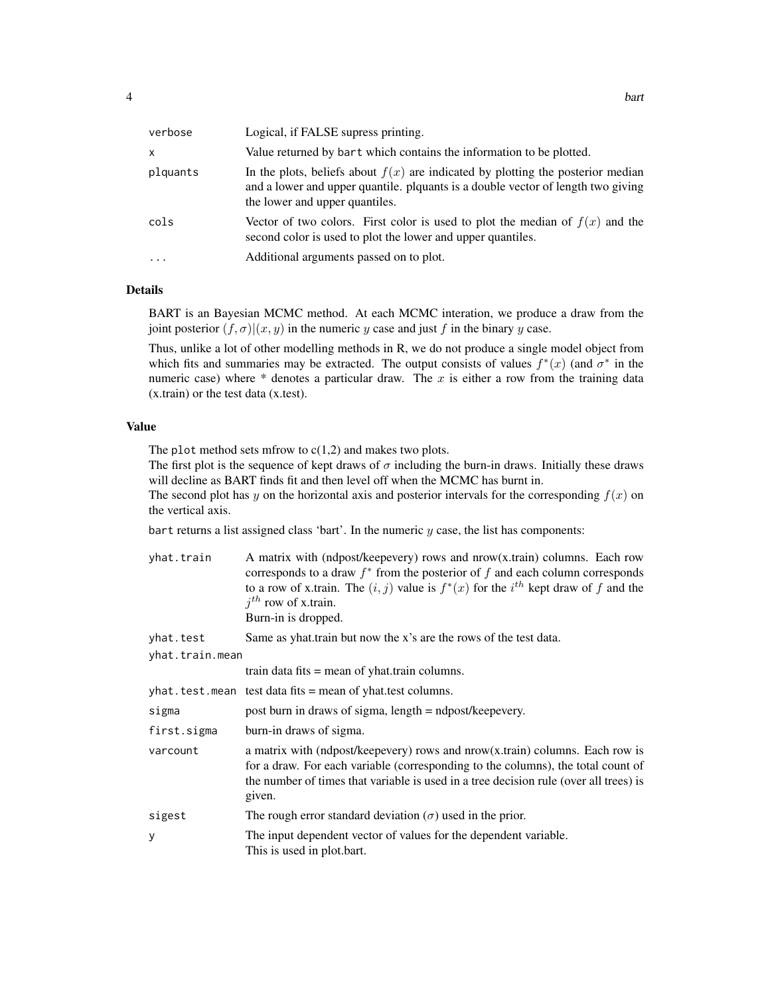| verbose   | Logical, if FALSE supress printing.                                                                                                                                                                     |
|-----------|---------------------------------------------------------------------------------------------------------------------------------------------------------------------------------------------------------|
| X         | Value returned by bart which contains the information to be plotted.                                                                                                                                    |
| plquants  | In the plots, beliefs about $f(x)$ are indicated by plotting the posterior median<br>and a lower and upper quantile. plquants is a double vector of length two giving<br>the lower and upper quantiles. |
| cols      | Vector of two colors. First color is used to plot the median of $f(x)$ and the<br>second color is used to plot the lower and upper quantiles.                                                           |
| $\ddotsc$ | Additional arguments passed on to plot.                                                                                                                                                                 |

### Details

BART is an Bayesian MCMC method. At each MCMC interation, we produce a draw from the joint posterior  $(f, \sigma)|(x, y)$  in the numeric y case and just f in the binary y case.

Thus, unlike a lot of other modelling methods in R, we do not produce a single model object from which fits and summaries may be extracted. The output consists of values  $f^*(x)$  (and  $\sigma^*$  in the numeric case) where  $*$  denotes a particular draw. The  $x$  is either a row from the training data (x.train) or the test data (x.test).

#### Value

The plot method sets mfrow to  $c(1,2)$  and makes two plots.

The first plot is the sequence of kept draws of  $\sigma$  including the burn-in draws. Initially these draws will decline as BART finds fit and then level off when the MCMC has burnt in.

The second plot has y on the horizontal axis and posterior intervals for the corresponding  $f(x)$  on the vertical axis.

bart returns a list assigned class 'bart'. In the numeric  $y$  case, the list has components:

| yhat.train      | A matrix with (ndpost/keepevery) rows and nrow(x.train) columns. Each row<br>corresponds to a draw $f^*$ from the posterior of f and each column corresponds<br>to a row of x.train. The $(i, j)$ value is $f^*(x)$ for the $i^{th}$ kept draw of f and the<br>$i^{th}$ row of x.train.<br>Burn-in is dropped. |
|-----------------|----------------------------------------------------------------------------------------------------------------------------------------------------------------------------------------------------------------------------------------------------------------------------------------------------------------|
| yhat.test       | Same as yhat.train but now the x's are the rows of the test data.                                                                                                                                                                                                                                              |
| yhat.train.mean |                                                                                                                                                                                                                                                                                                                |
|                 | train data fits $=$ mean of yhat.train columns.                                                                                                                                                                                                                                                                |
|                 | $yhat.test.$ mean test data fits = mean of yhat test columns.                                                                                                                                                                                                                                                  |
| sigma           | post burn in draws of sigma, length = ndpost/keepevery.                                                                                                                                                                                                                                                        |
| first.sigma     | burn-in draws of sigma.                                                                                                                                                                                                                                                                                        |
| varcount        | a matrix with (ndpost/keepevery) rows and $nrow(x, train)$ columns. Each row is<br>for a draw. For each variable (corresponding to the columns), the total count of<br>the number of times that variable is used in a tree decision rule (over all trees) is<br>given.                                         |
| sigest          | The rough error standard deviation $(\sigma)$ used in the prior.                                                                                                                                                                                                                                               |
| У               | The input dependent vector of values for the dependent variable.<br>This is used in plot.bart.                                                                                                                                                                                                                 |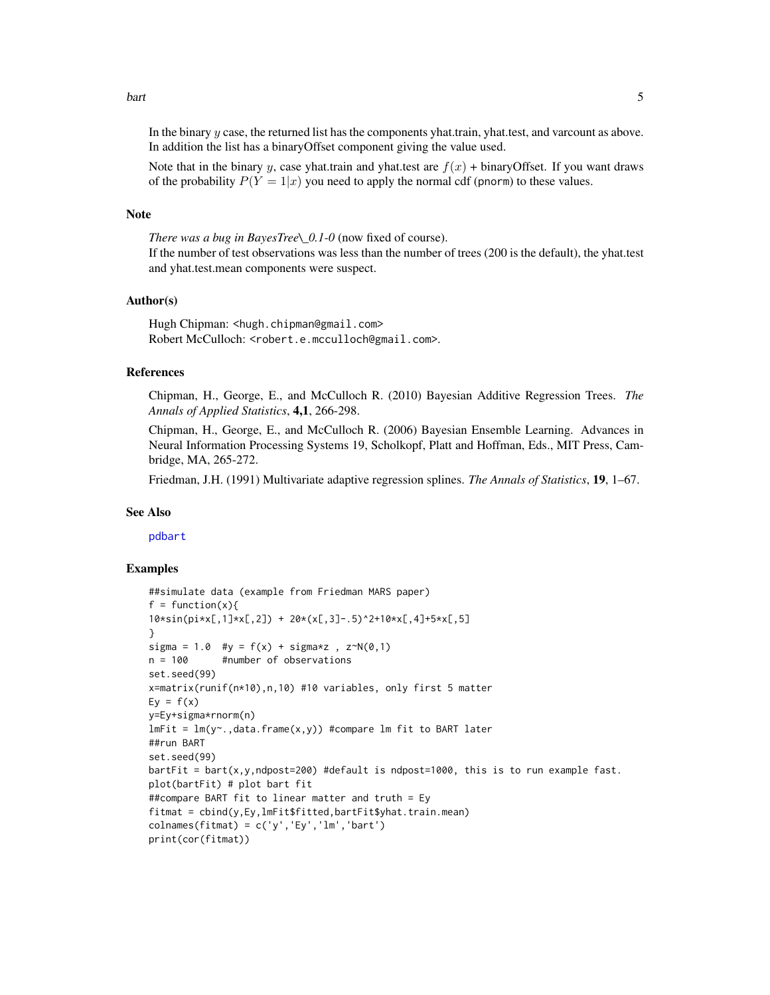<span id="page-4-0"></span>bart 5 and 5 and 5 and 5 and 5 and 5 and 5 and 5 and 5 and 5 and 5 and 5 and 5 and 5 and 5 and 5 and 5 and 5 and 5 and 5 and 5 and 5 and 5 and 5 and 5 and 5 and 5 and 5 and 5 and 5 and 5 and 5 and 5 and 5 and 5 and 5 and 5

In the binary y case, the returned list has the components yhat.train, yhat.test, and varcount as above. In addition the list has a binaryOffset component giving the value used.

Note that in the binary y, case yhat.train and yhat.test are  $f(x)$  + binaryOffset. If you want draws of the probability  $P(Y = 1|x)$  you need to apply the normal cdf (pnorm) to these values.

#### Note

*There was a bug in BayesTree\\_0.1-0* (now fixed of course).

If the number of test observations was less than the number of trees (200 is the default), the yhat.test and yhat.test.mean components were suspect.

#### Author(s)

Hugh Chipman: <hugh.chipman@gmail.com> Robert McCulloch: <robert.e.mcculloch@gmail.com>.

# References

Chipman, H., George, E., and McCulloch R. (2010) Bayesian Additive Regression Trees. *The Annals of Applied Statistics*, 4,1, 266-298.

Chipman, H., George, E., and McCulloch R. (2006) Bayesian Ensemble Learning. Advances in Neural Information Processing Systems 19, Scholkopf, Platt and Hoffman, Eds., MIT Press, Cambridge, MA, 265-272.

Friedman, J.H. (1991) Multivariate adaptive regression splines. *The Annals of Statistics*, 19, 1–67.

#### See Also

[pdbart](#page-6-1)

#### Examples

```
##simulate data (example from Friedman MARS paper)
f = function(x)10*sin(pixx[,1] * x[,2]) + 20 * (x[,3] - .5)^2 + 10 * x[,4] + 5 * x[,5]}
sigma = 1.0 #y = f(x) + sigma*z, z \sim N(0,1)n = 100 #number of observations
set.seed(99)
x=matrix(runif(n*10),n,10) #10 variables, only first 5 matter
Ey = f(x)y=Ey+sigma*rnorm(n)
lmFit = lm(y<sup>~</sup>, data frame(x, y)) #compare lm fit to BART later
##run BART
set.seed(99)
bartFit = bart(x,y,ndpost=200) #default is ndpost=1000, this is to run example fast.
plot(bartFit) # plot bart fit
##compare BART fit to linear matter and truth = Ey
fitmat = cbind(y,Ey,lmFit$fitted,bartFit$yhat.train.mean)
colnames(fitmat) = c('y', 'Ey', 'lm', 'bart')print(cor(fitmat))
```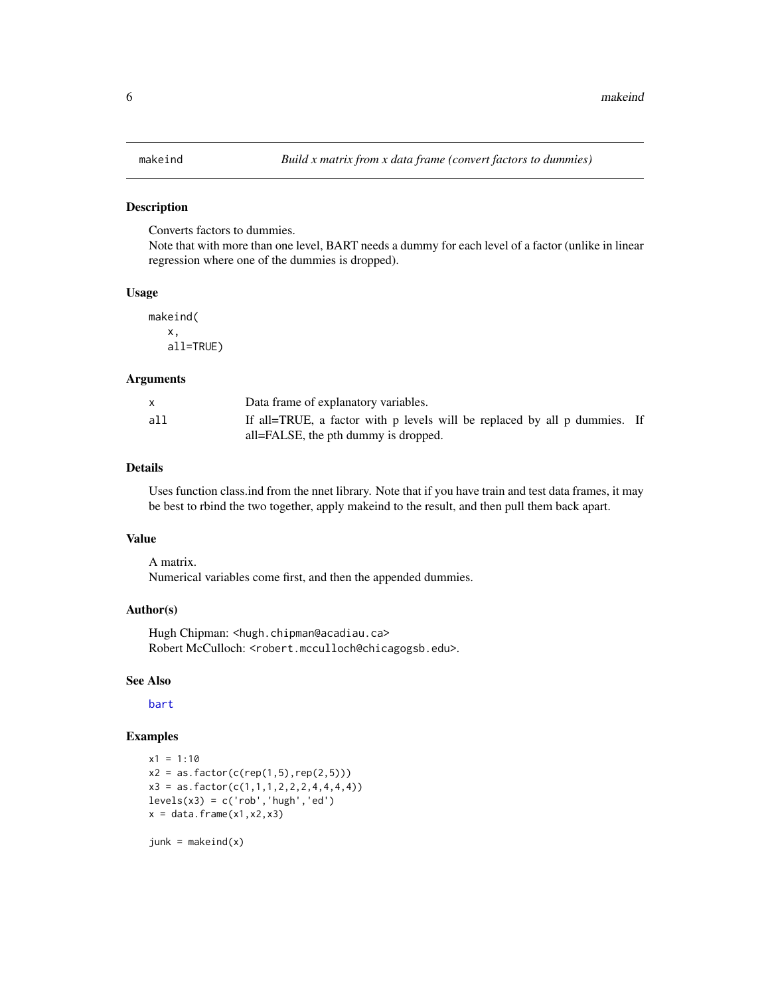### <span id="page-5-0"></span>Description

Converts factors to dummies.

Note that with more than one level, BART needs a dummy for each level of a factor (unlike in linear regression where one of the dummies is dropped).

#### Usage

makeind( x, all=TRUE)

#### Arguments

|     | Data frame of explanatory variables.                                      |
|-----|---------------------------------------------------------------------------|
| all | If all=TRUE, a factor with p levels will be replaced by all p dummies. If |
|     | all=FALSE, the pth dummy is dropped.                                      |

#### Details

Uses function class.ind from the nnet library. Note that if you have train and test data frames, it may be best to rbind the two together, apply makeind to the result, and then pull them back apart.

# Value

A matrix. Numerical variables come first, and then the appended dummies.

#### Author(s)

Hugh Chipman: <hugh.chipman@acadiau.ca> Robert McCulloch: <robert.mcculloch@chicagogsb.edu>.

#### See Also

[bart](#page-0-1)

#### Examples

```
x1 = 1:10x2 = as.factor(c(rep(1,5),rep(2,5)))x3 = as.factor(c(1,1,1,2,2,2,4,4,4,4))levels(x3) = c('rob', 'hugh', 'ed')x = data.frame(x1,x2,x3)
```
 $junk = makeind(x)$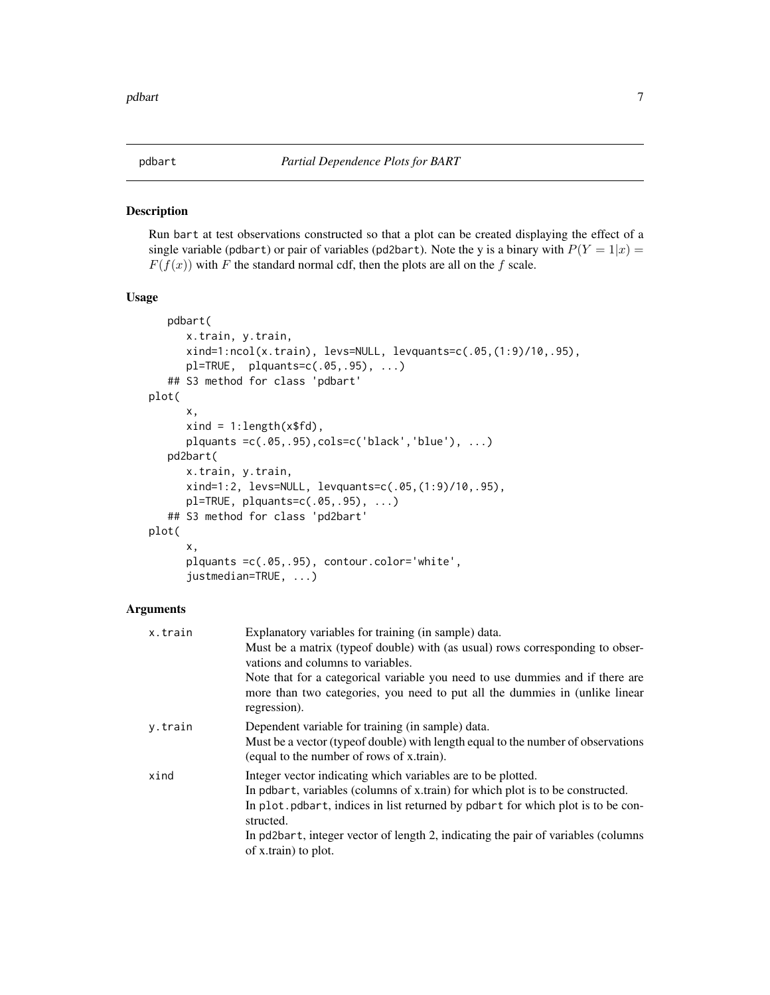<span id="page-6-1"></span><span id="page-6-0"></span>

#### Description

Run bart at test observations constructed so that a plot can be created displaying the effect of a single variable (pdbart) or pair of variables (pd2bart). Note the y is a binary with  $P(Y = 1|x)$  $F(f(x))$  with F the standard normal cdf, then the plots are all on the f scale.

#### Usage

```
pdbart(
      x.train, y.train,
      xind=1:ncol(x.train), levs=NULL, levquants=c(.05,(1:9)/10,.95),
      pl=TRUE, plquants=c(.05,.95), ...)
   ## S3 method for class 'pdbart'
plot(
      x,
      xind = 1:length(x$fd),
      plquants =c(.05,.95),cols=c('black','blue'), ...)
   pd2bart(
      x.train, y.train,
      xind=1:2, levs=NULL, levquants=c(.05,(1:9)/10,.95),
      pl=TRUE, plquants=c(.05,.95), ...)
   ## S3 method for class 'pd2bart'
plot(
      x,
      plquants =c(.05,.95), contour.color='white',
      justmedian=TRUE, ...)
```
#### Arguments

| x.train | Explanatory variables for training (in sample) data.                                                                          |
|---------|-------------------------------------------------------------------------------------------------------------------------------|
|         | Must be a matrix (typeof double) with (as usual) rows corresponding to obser-                                                 |
|         | vations and columns to variables.                                                                                             |
|         | Note that for a categorical variable you need to use dummies and if there are                                                 |
|         | more than two categories, you need to put all the dummies in (unlike linear<br>regression).                                   |
| y.train | Dependent variable for training (in sample) data.                                                                             |
|         | Must be a vector (typeof double) with length equal to the number of observations<br>(equal to the number of rows of x.train). |
| xind    | Integer vector indicating which variables are to be plotted.                                                                  |
|         | In pdbart, variables (columns of x.train) for which plot is to be constructed.                                                |
|         | In plot.pdbart, indices in list returned by pdbart for which plot is to be con-<br>structed.                                  |
|         | In pd2bart, integer vector of length 2, indicating the pair of variables (columns)                                            |
|         | of x.train) to plot.                                                                                                          |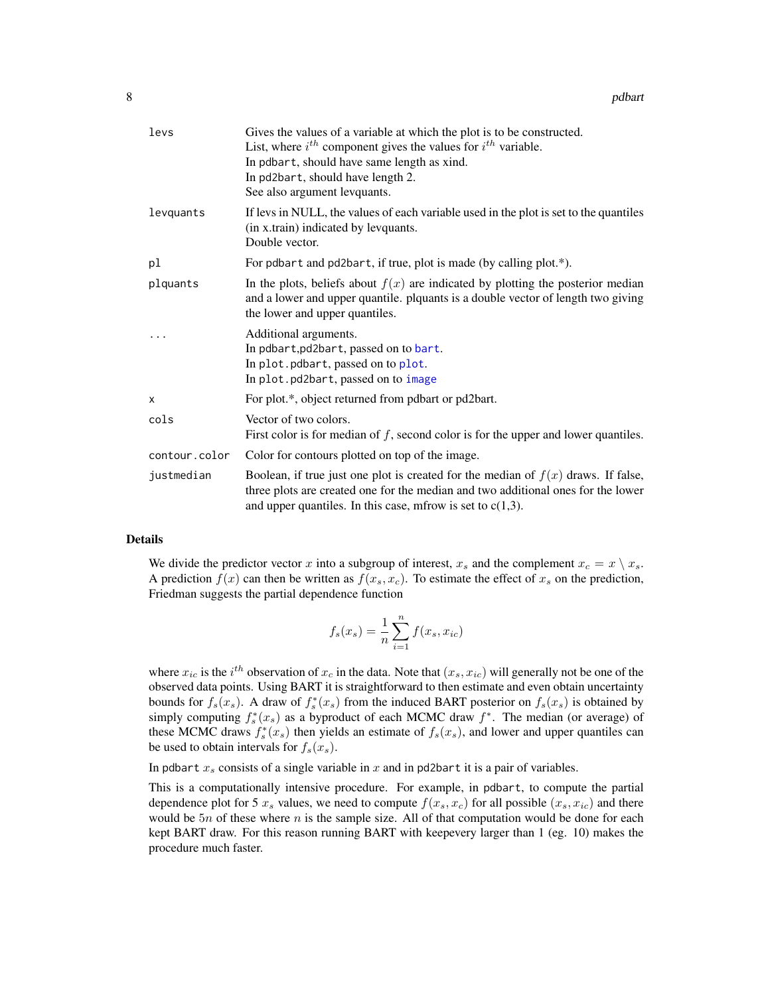<span id="page-7-0"></span>

| levs          | Gives the values of a variable at which the plot is to be constructed.<br>List, where $i^{th}$ component gives the values for $i^{th}$ variable.<br>In pdbart, should have same length as xind.<br>In pd2bart, should have length 2.<br>See also argument levquants. |
|---------------|----------------------------------------------------------------------------------------------------------------------------------------------------------------------------------------------------------------------------------------------------------------------|
| levquants     | If levs in NULL, the values of each variable used in the plot is set to the quantiles<br>(in x.train) indicated by levquants.<br>Double vector.                                                                                                                      |
| pl            | For pdbart and pd2bart, if true, plot is made (by calling plot.*).                                                                                                                                                                                                   |
| plquants      | In the plots, beliefs about $f(x)$ are indicated by plotting the posterior median<br>and a lower and upper quantile. plquants is a double vector of length two giving<br>the lower and upper quantiles.                                                              |
|               | Additional arguments.<br>In pdbart, pd2bart, passed on to bart.<br>In plot. pdbart, passed on to plot.<br>In plot.pd2bart, passed on to image                                                                                                                        |
| $\times$      | For plot.*, object returned from pdbart or pd2bart.                                                                                                                                                                                                                  |
| cols          | Vector of two colors.<br>First color is for median of $f$ , second color is for the upper and lower quantiles.                                                                                                                                                       |
| contour.color | Color for contours plotted on top of the image.                                                                                                                                                                                                                      |
| justmedian    | Boolean, if true just one plot is created for the median of $f(x)$ draws. If false,<br>three plots are created one for the median and two additional ones for the lower<br>and upper quantiles. In this case, mfrow is set to $c(1,3)$ .                             |

#### Details

We divide the predictor vector x into a subgroup of interest,  $x_s$  and the complement  $x_c = x \setminus x_s$ . A prediction  $f(x)$  can then be written as  $f(x_s, x_c)$ . To estimate the effect of  $x_s$  on the prediction, Friedman suggests the partial dependence function

$$
f_s(x_s) = \frac{1}{n} \sum_{i=1}^{n} f(x_s, x_{ic})
$$

where  $x_{ic}$  is the  $i^{th}$  observation of  $x_c$  in the data. Note that  $(x_s, x_{ic})$  will generally not be one of the observed data points. Using BART it is straightforward to then estimate and even obtain uncertainty bounds for  $f_s(x_s)$ . A draw of  $f_s^*(x_s)$  from the induced BART posterior on  $f_s(x_s)$  is obtained by simply computing  $f_s^*(x_s)$  as a byproduct of each MCMC draw  $f^*$ . The median (or average) of these MCMC draws  $f_s^*(x_s)$  then yields an estimate of  $f_s(x_s)$ , and lower and upper quantiles can be used to obtain intervals for  $f_s(x_s)$ .

In pdbart  $x_s$  consists of a single variable in  $x$  and in pd2bart it is a pair of variables.

This is a computationally intensive procedure. For example, in pdbart, to compute the partial dependence plot for 5  $x_s$  values, we need to compute  $f(x_s, x_c)$  for all possible  $(x_s, x_{ic})$  and there would be  $5n$  of these where n is the sample size. All of that computation would be done for each kept BART draw. For this reason running BART with keepevery larger than 1 (eg. 10) makes the procedure much faster.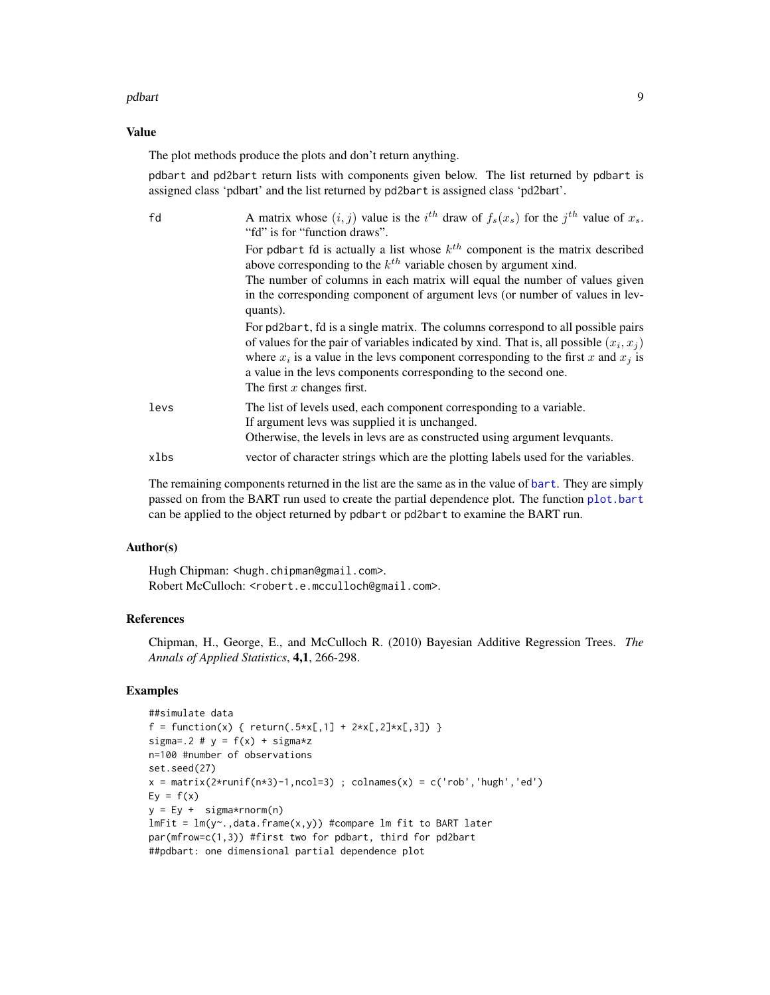#### <span id="page-8-0"></span>pdbart 1988 – 1988 – 1988 – 1988 – 1988 – 1988 – 1988 – 1988 – 1988 – 1988 – 1988 – 1988 – 1988 – 1988 – 1988

#### Value

The plot methods produce the plots and don't return anything.

pdbart and pd2bart return lists with components given below. The list returned by pdbart is assigned class 'pdbart' and the list returned by pd2bart is assigned class 'pd2bart'.

| fd   | A matrix whose $(i, j)$ value is the $i^{th}$ draw of $f_s(x_s)$ for the $j^{th}$ value of $x_s$ .<br>"fd" is for "function draws".                                                                                                                                                                                                                                        |
|------|----------------------------------------------------------------------------------------------------------------------------------------------------------------------------------------------------------------------------------------------------------------------------------------------------------------------------------------------------------------------------|
|      | For pdbart fd is actually a list whose $k^{th}$ component is the matrix described<br>above corresponding to the $k^{th}$ variable chosen by argument xind.                                                                                                                                                                                                                 |
|      | The number of columns in each matrix will equal the number of values given<br>in the corresponding component of argument levs (or number of values in lev-<br>quants).                                                                                                                                                                                                     |
|      | For pd2bart, fd is a single matrix. The columns correspond to all possible pairs<br>of values for the pair of variables indicated by xind. That is, all possible $(x_i, x_j)$<br>where $x_i$ is a value in the levs component corresponding to the first x and $x_i$ is<br>a value in the levs components corresponding to the second one.<br>The first $x$ changes first. |
| levs | The list of levels used, each component corresponding to a variable.<br>If argument levs was supplied it is unchanged.<br>Otherwise, the levels in levs are as constructed using argument levquants.                                                                                                                                                                       |
| xlbs | vector of character strings which are the plotting labels used for the variables.                                                                                                                                                                                                                                                                                          |

The remaining components returned in the list are the same as in the value of [bart](#page-0-1). They are simply passed on from the BART run used to create the partial dependence plot. The function [plot.bart](#page-0-3) can be applied to the object returned by pdbart or pd2bart to examine the BART run.

#### Author(s)

Hugh Chipman: <hugh.chipman@gmail.com>. Robert McCulloch: <robert.e.mcculloch@gmail.com>.

# References

Chipman, H., George, E., and McCulloch R. (2010) Bayesian Additive Regression Trees. *The Annals of Applied Statistics*, 4,1, 266-298.

# Examples

```
##simulate data
f = function(x) \{ return(.5*x[, 1] + 2*x[, 2] * x[, 3]) \}sigma=.2 # y = f(x) + sigmaxzn=100 #number of observations
set.seed(27)
x = matrix(2*runif(n*3)-1, ncol=3); colnames(x) = c('rob','hugh','ed')
Ey = f(x)y = Ey + sigma*rnorm(n)lmFit = lm(y<sup>o</sup>, data frame(x, y)) #compare lm fit to BART later
par(mfrow=c(1,3)) #first two for pdbart, third for pd2bart
##pdbart: one dimensional partial dependence plot
```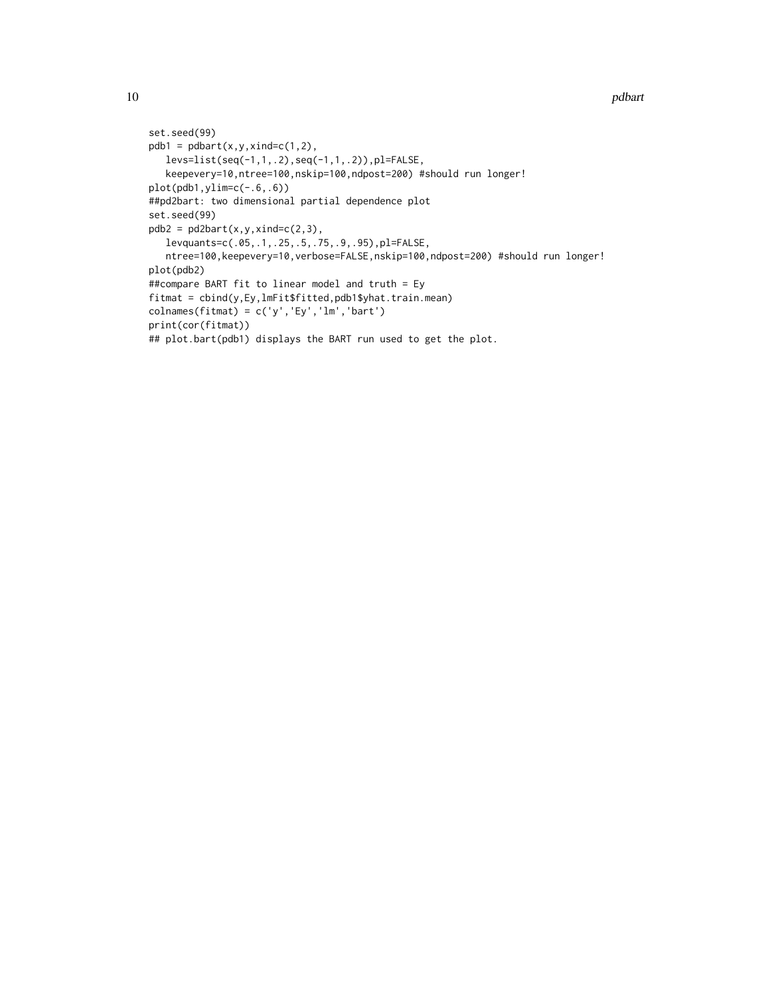```
10 pdbart
```

```
set.seed(99)
pdb1 = pdbart(x,y,xind=c(1,2),levs=list(seq(-1,1,.2),seq(-1,1,.2)),pl=FALSE,
  keepevery=10,ntree=100,nskip=100,ndpost=200) #should run longer!
plot(pdb1,ylim=c(-.6,.6))
##pd2bart: two dimensional partial dependence plot
set.seed(99)
pdb2 = pd2bart(x,y,xind=c(2,3),levquants=c(.05,.1,.25,.5,.75,.9,.95),pl=FALSE,
  ntree=100,keepevery=10,verbose=FALSE,nskip=100,ndpost=200) #should run longer!
plot(pdb2)
##compare BART fit to linear model and truth = Ey
fitmat = cbind(y,Ey,lmFit$fitted,pdb1$yhat.train.mean)
colnames(fitmat) = c('y','Ey','lm','bart')
print(cor(fitmat))
## plot.bart(pdb1) displays the BART run used to get the plot.
```